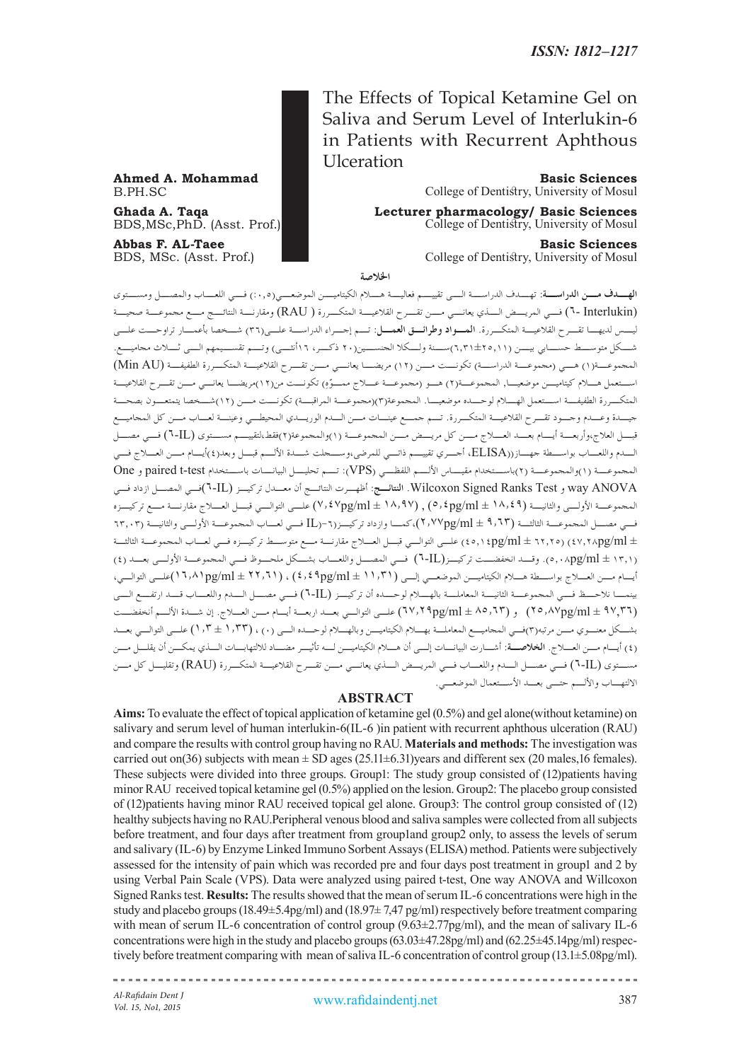The Effects of Topical Ketamine Gel on Saliva and Serum Level of Interlukin-6 in Patients with Recurrent Aphthous Ulceration

**Ahmed A. Mohammad Basic Sciences**<br>B.PH.SC College of Dentistry. University of Mosul College of Dentistry, University of Mosul

**Ghada A. Taqa Lecturer pharmacology/ Basic Sciences** College of Dentistry, University of Mosul

**Abbas F. AL-Taee Basic Sciences**<br>BDS, MSc. (Asst. Prof.) **Basic Sciences**<br>College of Dentistry, University of Mosul College of Dentistry, University of Mosul

ا<del>لخ</del>لاصة

**الهــدف مــن الدراســة:** تهــدف الدراســة الــى تقييــم فعاليــة هــام الكيتاميــن الموضعــي)%0.5( فــي اللعــاب والمصــل ومســتوى )Interlukin 6- )فــي المريــض الــذي يعانــي مــن تقــرح القالعيــة المتكــررة ) RAU )ومقارنــة النتائــج مــع مجموعــة صحيــة ليـس لديهـا تقـرح القالعيـة المتكـررة. **المـواد وطرائـق العمـل:** تـم إجـراء الدراسـة علـى)36( شـخصا بأعمـار تراوحـت علـى شــكل متوســط حســابي بيــن )6.31±25.11(ســنة ولــكال الجنســين)20 ذكــر، 16أنثــى( وتــم تقســيمهم الــى ثــاث مجاميــع. المجموعــة(١) هــي (مجموعـــة الدراســـة) تكونـــت مـــن (١٢) مريضـــا يعانـــي مـــن تقـــرح القلاعيـــة المتكـــررة الطفيفـــة (Min AU) اسـتعمل هـام كيتاميـن موضعيـا, المجموعـة)2 ّ ( هـو )مجموعـة عـاج ممـوِه( تكونـت من)12(مريضـا يعانـي مـن تقـرح القالعيـة المتكــررة الطفيفــة اســتعمل الهــام لوحــده موضعيــا. المجموعة)3()مجموعــة المراقبــة( تكونــت مــن )12(شــخصا يتمتعــون بصحــة جيـدة وعـدم وجـود تقـرح القالعيـة المتكـررة. تـم جمـع عينـات مـن الـدم الوريـدي المحيطـي وعينـة لعـاب مـن كل المجاميـع قبــل العالج،وأربعــة أيــام بعــد العــاج مــن كل مريــض مــن المجموعــة )1(والمجموعة)2(فقط،لتقييــم مســتوى )IL6- )فــي مصــل الـدم واللعـاب بواسـطة جهـاز))ELISA، أجـري تقييـم ذاتـي للمرضى،وسـجلت شـدة األلـم قبـل وبعد)4(أيـام مـن العـاج فـي المجموعــة )1(والمجموعــة )2(باســتخدام مقيــاس األلــم اللفظــي )VPS): تــم تحليــل البيانــات باســتخدام test-t paired و One ANOVA way و Test Ranks Signed Wilcoxon. **النتائـج:** أظهـرت النتائـج أن معـدل تركيـز )IL6-)فـي المصـل ازداد فـي المجموعــة األولــى والثانيــة )18.49 ± ml/pg5.4 ),( 18.97 ± ml/pg7.47 )علــى التوالــي قبــل العــاج مقارنــة مــع تركيــزه فـي مصـل المجموعـة الثالثـة )9.63 ± ml/pg2.77)،كمـا وازداد تركيـز)-6)IL فـي لعـاب المجموعـة األولـى والثانيـة )63.03 ± ml/pg47.28( )62.25 ± ml/pg45.14 )علـى التوالـي قبـل العـاج مقارنـة مـع متوسـط تركيـزه فـي لعـاب المجموعـة الثالثـة )13.1 ± ml/pg5.08). وقـد انخفضـت تركيـز)IL6- )فـي المصـل واللعـاب بشـكل ملحـوظ فـي المجموعـة األولـى بعـد )4( أيـام مـن العـاج بواسـطة هـام الكيتاميـن الموضعـي إلـى )11.31 ± ml/pg4.49 )،( 22.61 ± ml/pg16.81)علـى التوالـي، بينمــا نالحــظ فــي المجموعــة الثانيــة المعاملــة بالهــام لوحــده أن تركيــز )IL6- )فــي مصــل الــدم واللعــاب قــد ارتفــع الــى )97,36 ± ml/pg25.87 )و )85.63 ± ml/pg67.29 )علـى التوالـي بعـد اربعـة أيـام مـن العـاج. إن شـدة األلـم أنخفضـت بشـكل معنـوي مـن مرتبه)3(فـي المجاميـع المعاملـة بهـام الكيتاميـن وبالهـام لوحـده الـى )0( ، )1.33 ± 1.3( علـى التوالـي بعـد )4( أيـام مـن العـاج. **الخالصـة:** أشـارت البيانـات إلـى أن هـام الكيتاميـن لـه تأثيـر مضـاد لاللتهابـات الـذي يمكـن أن يقلـل مـن مسـتوى )IL6- )فـي مصـل الـدم واللعـاب فـي المريـض الـذي يعانـي مـن تقـرح القالعيـة المتكـررة )RAU )وتقليـل كل مـن االلتهـاب واأللـم حتـى بعـد األسـتعمال الموضعـي.

# **ABSTRACT**

**Aims:** To evaluate the effect of topical application of ketamine gel (0.5%) and gel alone(without ketamine) on salivary and serum level of human interlukin-6(IL-6 )in patient with recurrent aphthous ulceration (RAU) and compare the results with control group having no RAU. **Materials and methods:** The investigation was carried out on(36) subjects with mean  $\pm$  SD ages (25.11 $\pm$ 6.31)years and different sex (20 males,16 females). These subjects were divided into three groups. Group1: The study group consisted of (12)patients having minor RAU received topical ketamine gel (0.5%) applied on the lesion. Group2: The placebo group consisted of (12)patients having minor RAU received topical gel alone. Group3: The control group consisted of (12) healthy subjects having no RAU.Peripheral venous blood and saliva samples were collected from all subjects before treatment, and four days after treatment from groupland group2 only, to assess the levels of serum and salivary (IL-6) by Enzyme Linked Immuno Sorbent Assays (ELISA) method. Patients were subjectively assessed for the intensity of pain which was recorded pre and four days post treatment in group1 and 2 by using Verbal Pain Scale (VPS). Data were analyzed using paired t-test, One way ANOVA and Willcoxon Signed Ranks test. **Results:** The results showed that the mean of serum IL-6 concentrations were high in the study and placebo groups (18.49±5.4pg/ml) and (18.97± 7,47 pg/ml) respectively before treatment comparing with mean of serum IL-6 concentration of control group  $(9.63\pm2.77pg/ml)$ , and the mean of salivary IL-6 concentrations were high in the study and placebo groups (63.03±47.28pg/ml) and (62.25±45.14pg/ml) respectively before treatment comparing with mean of saliva IL-6 concentration of control group (13.1±5.08pg/ml).

*Al-Rafidain Dent J*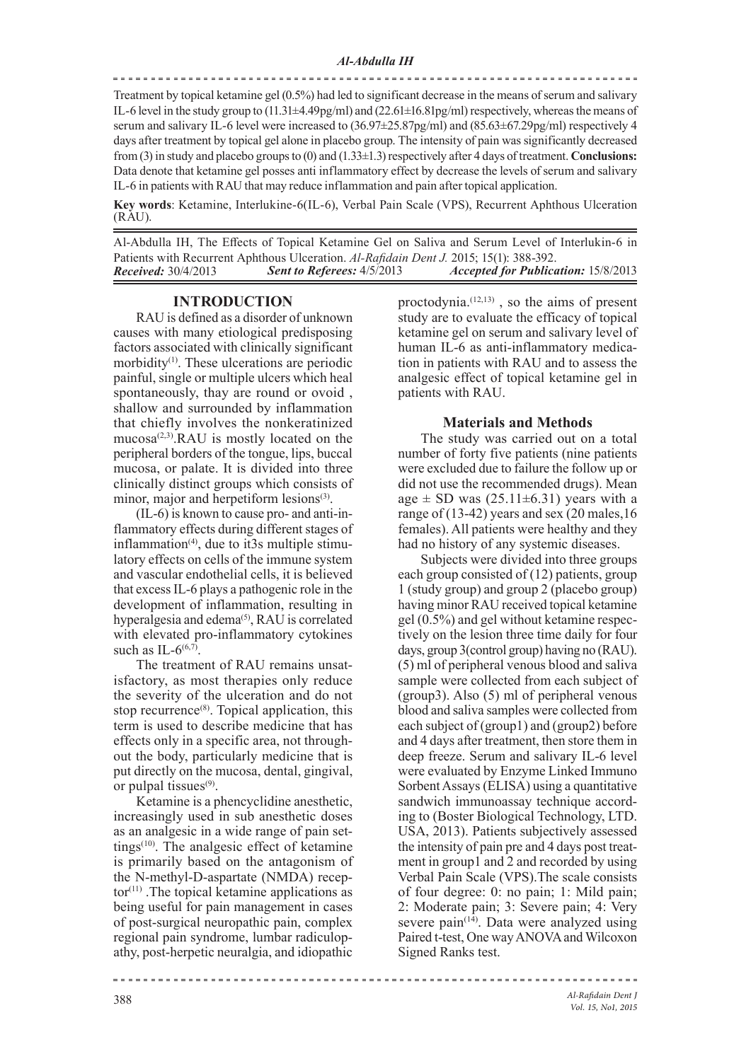Treatment by topical ketamine gel (0.5%) had led to significant decrease in the means of serum and salivary IL-6 level in the study group to (11.31±4.49pg/ml) and (22.61±16.81pg/ml) respectively, whereas the means of serum and salivary IL-6 level were increased to  $(36.97\pm 25.87pg/ml)$  and  $(85.63\pm 67.29pg/ml)$  respectively 4 days after treatment by topical gel alone in placebo group. The intensity of pain was significantly decreased from (3) in study and placebo groups to (0) and (1.33±1.3) respectively after 4 days of treatment. **Conclusions:** Data denote that ketamine gel posses anti inflammatory effect by decrease the levels of serum and salivary IL-6 in patients with RAU that may reduce inflammation and pain after topical application.

**Key words**: Ketamine, Interlukine-6(IL-6), Verbal Pain Scale (VPS), Recurrent Aphthous Ulceration (RAU).

Al-Abdulla IH, The Effects of Topical Ketamine Gel on Saliva and Serum Level of Interlukin-6 in Patients with Recurrent Aphthous Ulceration. *Al-Rafidain Dent J.* 2015; 15(1): 388-392.<br>Received: 30/4/2013 **Sent to Referees:** 4/5/2013 *Accepted for Publica Received:* 30/4/2013 *Sent to Referees:* 4/5/2013 *Accepted for Publication:* 15/8/2013

### **INTRODUCTION**

RAU is defined as a disorder of unknown causes with many etiological predisposing factors associated with clinically significant morbidity<sup>(1)</sup>. These ulcerations are periodic painful, single or multiple ulcers which heal spontaneously, thay are round or ovoid , shallow and surrounded by inflammation that chiefly involves the nonkeratinized  $mu \cos\alpha^{(2,3)}$ . RAU is mostly located on the peripheral borders of the tongue, lips, buccal mucosa, or palate. It is divided into three clinically distinct groups which consists of minor, major and herpetiform lesions<sup>(3)</sup>.

(IL-6) is known to cause pro- and anti-inflammatory effects during different stages of inflammation<sup>(4)</sup>, due to it3s multiple stimulatory effects on cells of the immune system and vascular endothelial cells, it is believed that excess IL-6 plays a pathogenic role in the development of inflammation, resulting in hyperalgesia and edema<sup>(5)</sup>, RAU is correlated with elevated pro-inflammatory cytokines such as IL- $6^{(6,7)}$ .

The treatment of RAU remains unsatisfactory, as most therapies only reduce the severity of the ulceration and do not stop recurrence<sup>(8)</sup>. Topical application, this term is used to describe medicine that has effects only in a specific area, not throughout the body, particularly medicine that is put directly on the mucosa, dental, gingival, or pulpal tissues<sup>(9)</sup>.

Ketamine is a phencyclidine anesthetic, increasingly used in sub anesthetic doses as an analgesic in a wide range of pain settings $(10)$ . The analgesic effect of ketamine is primarily based on the antagonism of the N-methyl-D-aspartate (NMDA) recep $tor<sup>(11)</sup>$ . The topical ketamine applications as being useful for pain management in cases of post-surgical neuropathic pain, complex regional pain syndrome, lumbar radiculopathy, post-herpetic neuralgia, and idiopathic

proctodynia.<sup>(12,13)</sup>, so the aims of present study are to evaluate the efficacy of topical ketamine gel on serum and salivary level of human IL-6 as anti-inflammatory medication in patients with RAU and to assess the analgesic effect of topical ketamine gel in patients with RAU.

#### **Materials and Methods**

The study was carried out on a total number of forty five patients (nine patients were excluded due to failure the follow up or did not use the recommended drugs). Mean age  $\pm$  SD was (25.11 $\pm$ 6.31) years with a range of (13-42) years and sex (20 males,16 females). All patients were healthy and they had no history of any systemic diseases.

Subjects were divided into three groups each group consisted of (12) patients, group 1 (study group) and group 2 (placebo group) having minor RAU received topical ketamine gel (0.5%) and gel without ketamine respectively on the lesion three time daily for four days, group 3(control group) having no (RAU). (5) ml of peripheral venous blood and saliva sample were collected from each subject of (group3). Also (5) ml of peripheral venous blood and saliva samples were collected from each subject of (group1) and (group2) before and 4 days after treatment, then store them in deep freeze. Serum and salivary IL-6 level were evaluated by Enzyme Linked Immuno Sorbent Assays (ELISA) using a quantitative sandwich immunoassay technique according to (Boster Biological Technology, LTD. USA, 2013). Patients subjectively assessed the intensity of pain pre and 4 days post treatment in group1 and 2 and recorded by using Verbal Pain Scale (VPS).The scale consists of four degree: 0: no pain; 1: Mild pain; 2: Moderate pain; 3: Severe pain; 4: Very severe pain<sup>(14)</sup>. Data were analyzed using Paired t-test, One way ANOVA and Wilcoxon Signed Ranks test.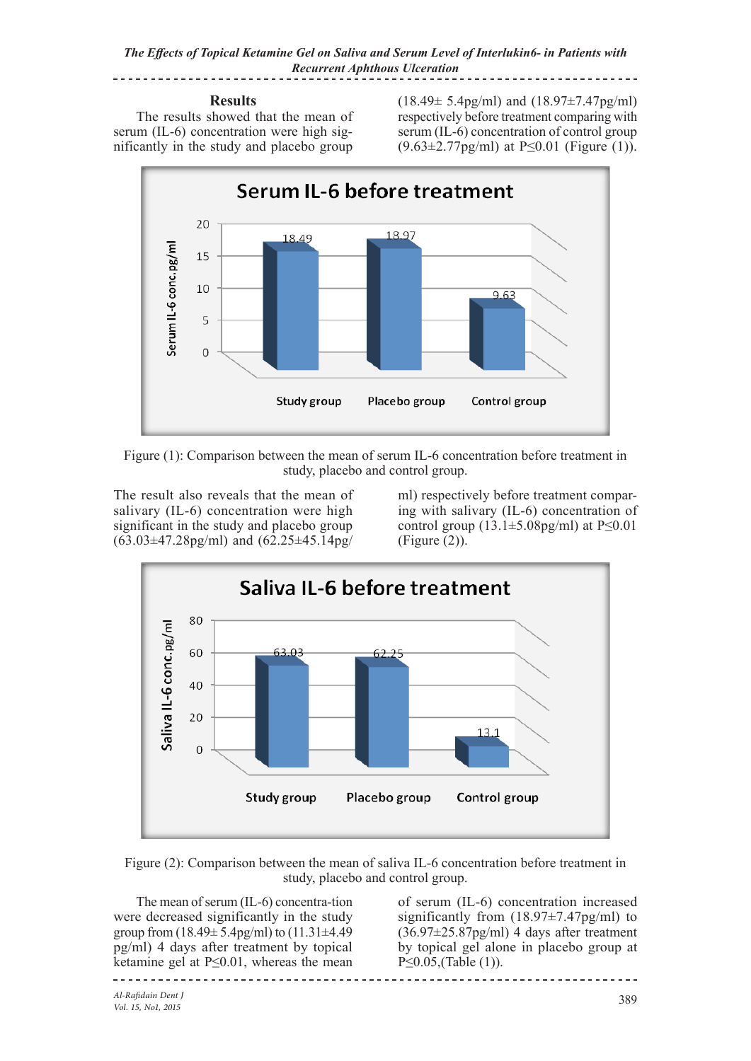*The Effects of Topical Ketamine Gel on Saliva and Serum Level of Interlukin6- in Patients with Recurrent Aphthous Ulceration* ---------------------<u> - - - - - - - - -</u>

# **Results**

The results showed that the mean of serum (IL-6) concentration were high significantly in the study and placebo group (18.49± 5.4pg/ml) and (18.97±7.47pg/ml) respectively before treatment comparing with serum (IL-6) concentration of control group  $(9.63\pm2.77 \text{pg/ml})$  at P<0.01 (Figure (1)).



Figure (1): Comparison between the mean of serum IL-6 concentration before treatment in study, placebo and control group.

The result also reveals that the mean of salivary (IL-6) concentration were high significant in the study and placebo group (63.03±47.28pg/ml) and (62.25±45.14pg/

ml) respectively before treatment comparing with salivary (IL-6) concentration of control group  $(13.1\pm5.08\text{pg/ml})$  at P $\leq 0.01$ (Figure (2)).



Figure (2): Comparison between the mean of saliva IL-6 concentration before treatment in study, placebo and control group.

The mean of serum (IL-6) concentra-tion were decreased significantly in the study group from  $(18.49 \pm 5.4$ pg/ml) to  $(11.31 \pm 4.49$ pg/ml) 4 days after treatment by topical ketamine gel at P≤0.01, whereas the mean

of serum (IL-6) concentration increased significantly from  $(18.97\pm7.47pg/ml)$  to  $(36.97 \pm 25.87 \text{pc/ml})$  4 days after treatment by topical gel alone in placebo group at  $P \le 0.05$ . (Table (1)).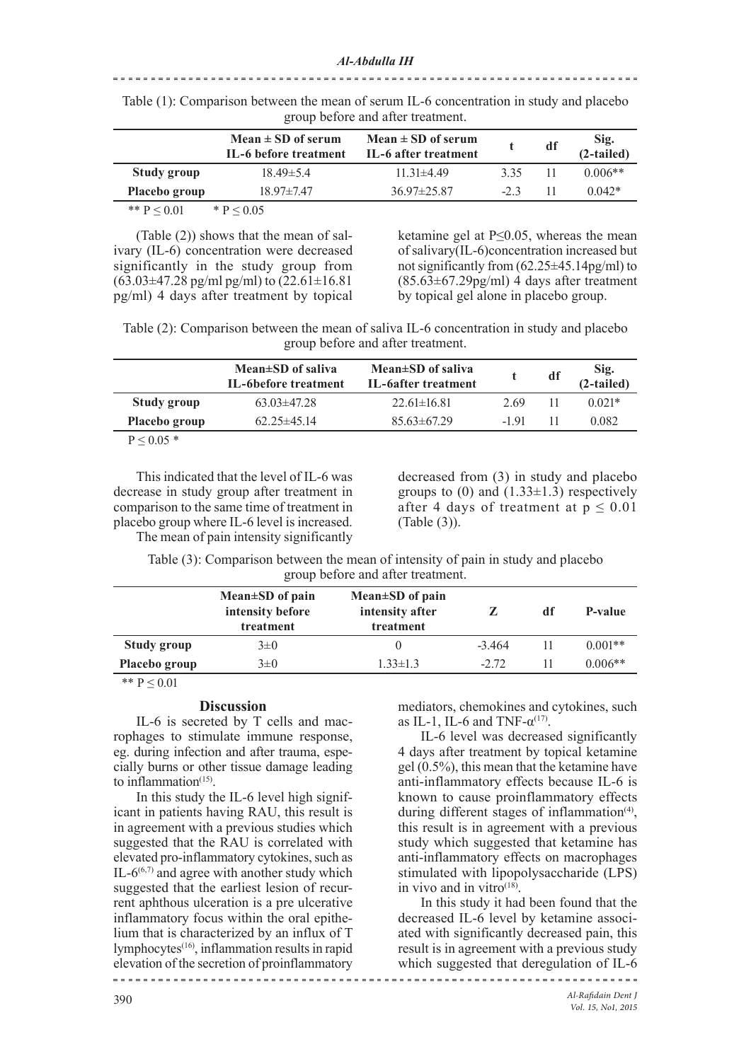### 

|                 | Mean $\pm$ SD of serum<br>IL-6 before treatment | Mean $\pm$ SD of serum<br>IL-6 after treatment |        | df | $Sig.(2-tailed)$ |
|-----------------|-------------------------------------------------|------------------------------------------------|--------|----|------------------|
| Study group     | $18.49 \pm 5.4$                                 | $11.31\pm4.49$                                 | 335    | 11 | $0.006**$        |
| Placebo group   | $18.97 \pm 7.47$                                | $36.97 \pm 25.87$                              | $-2.3$ | 11 | $0.042*$         |
| ** $P \le 0.01$ | * $P < 0.05$                                    |                                                |        |    |                  |

Table (1): Comparison between the mean of serum IL-6 concentration in study and placebo group before and after treatment.

(Table (2)) shows that the mean of salivary (IL-6) concentration were decreased significantly in the study group from  $(63.03 \pm 47.28 \text{ pg/ml pg/ml})$  to  $(22.61 \pm 16.81$ pg/ml) 4 days after treatment by topical ketamine gel at  $P \le 0.05$ , whereas the mean of salivary(IL-6)concentration increased but not significantly from  $(62.25\pm45.14\text{pg/ml})$  to  $(85.63\pm67.29\text{pg/ml})$  4 days after treatment by topical gel alone in placebo group.

Table (2): Comparison between the mean of saliva IL-6 concentration in study and placebo group before and after treatment.

|                                                                  | Mean±SD of saliva<br>IL-6before treatment | Mean $\pm$ SD of saliva<br>IL-6after treatment |       | df | $Sig.(2-tailed)$ |
|------------------------------------------------------------------|-------------------------------------------|------------------------------------------------|-------|----|------------------|
| Study group                                                      | $63.03\pm47.28$                           | $22.61 \pm 16.81$                              | 2.69  |    | $0.021*$         |
| Placebo group                                                    | $62.25 \pm 45.14$                         | $85.63\pm 67.29$                               | -1.91 |    | 0.082            |
| $\mathbf{D}$ $\mathbf{A}$ $\mathbf{A}$ $\mathbf{A}$ $\mathbf{A}$ |                                           |                                                |       |    |                  |

 $P < 0.05$  \*

This indicated that the level of IL-6 was decrease in study group after treatment in comparison to the same time of treatment in placebo group where IL-6 level is increased.

decreased from (3) in study and placebo groups to (0) and  $(1.33\pm1.3)$  respectively after 4 days of treatment at  $p \le 0.01$ (Table (3)).

The mean of pain intensity significantly

Table (3): Comparison between the mean of intensity of pain in study and placebo group before and after treatment.

|               | Mean $\pm$ SD of pain<br>intensity before<br>treatment | Mean $\pm$ SD of pain<br>intensity after<br>treatment |          | df | P-value   |
|---------------|--------------------------------------------------------|-------------------------------------------------------|----------|----|-----------|
| Study group   | $3\pm 0$                                               |                                                       | $-3.464$ |    | $0.001**$ |
| Placebo group | $3\pm 0$                                               | $1.33 \pm 1.3$                                        | $-2.72$  |    | $0.006**$ |
|               |                                                        |                                                       |          |    |           |

\*\*  $P \le 0.01$ 

### **Discussion**

IL-6 is secreted by T cells and macrophages to stimulate immune response, eg. during infection and after trauma, especially burns or other tissue damage leading to inflammation $(15)$ .

In this study the IL-6 level high significant in patients having RAU, this result is in agreement with a previous studies which suggested that the RAU is correlated with elevated pro-inflammatory cytokines, such as IL- $6^{(6,7)}$  and agree with another study which suggested that the earliest lesion of recurrent aphthous ulceration is a pre ulcerative inflammatory focus within the oral epithelium that is characterized by an influx of T lymphocytes<sup>(16)</sup>, inflammation results in rapid elevation of the secretion of proinflammatory 

mediators, chemokines and cytokines, such as IL-1, IL-6 and TNF- $\alpha$ <sup>(17)</sup>.

IL-6 level was decreased significantly 4 days after treatment by topical ketamine gel (0.5%), this mean that the ketamine have anti-inflammatory effects because IL-6 is known to cause proinflammatory effects during different stages of inflammation<sup>(4)</sup>, this result is in agreement with a previous study which suggested that ketamine has anti-inflammatory effects on macrophages stimulated with lipopolysaccharide (LPS) in vivo and in vitro $(18)$ .

In this study it had been found that the decreased IL-6 level by ketamine associated with significantly decreased pain, this result is in agreement with a previous study which suggested that deregulation of IL-6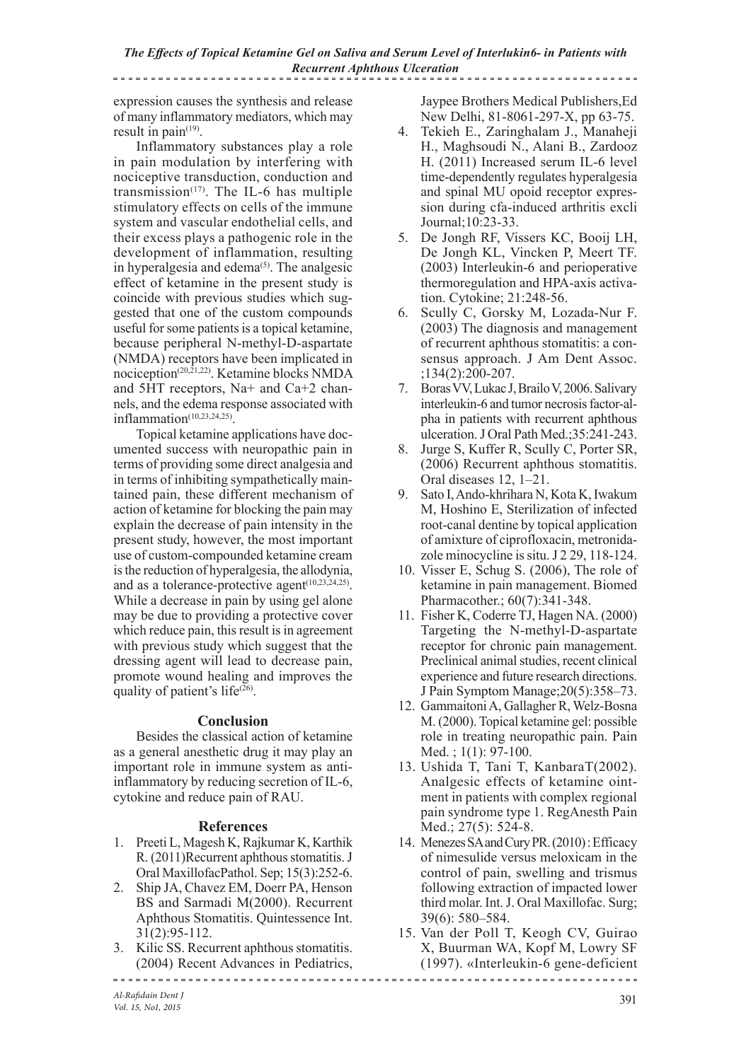*The Effects of Topical Ketamine Gel on Saliva and Serum Level of Interlukin6- in Patients with Recurrent Aphthous Ulceration* ...................... <u>----------------------</u>

expression causes the synthesis and release of many inflammatory mediators, which may result in pain $(19)$ .

Inflammatory substances play a role in pain modulation by interfering with nociceptive transduction, conduction and transmission<sup> $(17)$ </sup>. The IL-6 has multiple stimulatory effects on cells of the immune system and vascular endothelial cells, and their excess plays a pathogenic role in the development of inflammation, resulting in hyperalgesia and edema<sup>(5)</sup>. The analgesic effect of ketamine in the present study is coincide with previous studies which suggested that one of the custom compounds useful for some patients is a topical ketamine, because peripheral N-methyl-D-aspartate (NMDA) receptors have been implicated in nociception(20,21,22) . Ketamine blocks NMDA and 5HT receptors, Na+ and Ca+2 channels, and the edema response associated with inflammation<sup>(10,23,24,25)</sup>.

Topical ketamine applications have documented success with neuropathic pain in terms of providing some direct analgesia and in terms of inhibiting sympathetically maintained pain, these different mechanism of action of ketamine for blocking the pain may explain the decrease of pain intensity in the present study, however, the most important use of custom-compounded ketamine cream is the reduction of hyperalgesia, the allodynia, and as a tolerance-protective agent $(10, 23, 24, 25)$ . While a decrease in pain by using gel alone may be due to providing a protective cover which reduce pain, this result is in agreement with previous study which suggest that the dressing agent will lead to decrease pain, promote wound healing and improves the quality of patient's life<sup>(26)</sup>.

### **Conclusion**

Besides the classical action of ketamine as a general anesthetic drug it may play an important role in immune system as antiinflammatory by reducing secretion of IL-6, cytokine and reduce pain of RAU.

## **References**

- 1. Preeti L, Magesh K, Rajkumar K, Karthik R. (2011)Recurrent aphthous stomatitis. J Oral MaxillofacPathol. Sep; 15(3):252-6.
- 2. Ship JA, Chavez EM, Doerr PA, Henson BS and Sarmadi M(2000). Recurrent Aphthous Stomatitis. Quintessence Int. 31(2):95-112.
- 3. Kilic SS. Recurrent aphthous stomatitis. (2004) Recent Advances in Pediatrics,

Jaypee Brothers Medical Publishers,Ed New Delhi, 81-8061-297-X, pp 63-75.

- 4. Tekieh E., Zaringhalam J., Manaheji H., Maghsoudi N., Alani B., Zardooz H. (2011) Increased serum IL-6 level time-dependently regulates hyperalgesia and spinal MU opoid receptor expression during cfa-induced arthritis excli Journal;10:23-33.
- 5. De Jongh RF, Vissers KC, Booij LH, De Jongh KL, Vincken P, Meert TF. (2003) Interleukin-6 and perioperative thermoregulation and HPA-axis activation. Cytokine; 21:248-56.
- 6. Scully C, Gorsky M, Lozada-Nur F. (2003) The diagnosis and management of recurrent aphthous stomatitis: a consensus approach. J Am Dent Assoc. ;134(2):200-207.
- 7. Boras VV, Lukac J, Brailo V, 2006. Salivary interleukin-6 and tumor necrosis factor-alpha in patients with recurrent aphthous ulceration. J Oral Path Med.;35:241-243.
- 8. Jurge S, Kuffer R, Scully C, Porter SR, (2006) Recurrent aphthous stomatitis. Oral diseases 12, 1–21.
- 9. Sato I, Ando-khrihara N, Kota K, Iwakum M, Hoshino E, Sterilization of infected root-canal dentine by topical application of amixture of ciprofloxacin, metronidazole minocycline is situ. J 2 29, 118-124.
- 10. Visser E, Schug S. (2006), The role of ketamine in pain management. Biomed Pharmacother.; 60(7):341-348.
- 11. Fisher K, Coderre TJ, Hagen NA. (2000) Targeting the N-methyl-D-aspartate receptor for chronic pain management. Preclinical animal studies, recent clinical experience and future research directions. J Pain Symptom Manage;20(5):358–73.
- 12. Gammaitoni A, Gallagher R, Welz-Bosna M. (2000). Topical ketamine gel: possible role in treating neuropathic pain. Pain Med. ; 1(1): 97-100.
- 13. Ushida T, Tani T, KanbaraT(2002). Analgesic effects of ketamine ointment in patients with complex regional pain syndrome type 1. RegAnesth Pain Med.: 27(5): 524-8.
- 14. Menezes SA and Cury PR. (2010) : Efficacy of nimesulide versus meloxicam in the control of pain, swelling and trismus following extraction of impacted lower third molar. Int. J. Oral Maxillofac. Surg; 39(6): 580–584.
- 15. Van der Poll T, Keogh CV, Guirao X, Buurman WA, Kopf M, Lowry SF (1997). «Interleukin-6 gene-deficient